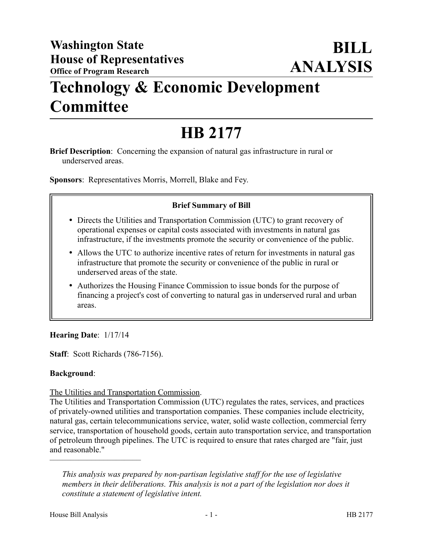# **Technology & Economic Development Committee**

# **HB 2177**

**Brief Description**: Concerning the expansion of natural gas infrastructure in rural or underserved areas.

**Sponsors**: Representatives Morris, Morrell, Blake and Fey.

#### **Brief Summary of Bill**

- Directs the Utilities and Transportation Commission (UTC) to grant recovery of operational expenses or capital costs associated with investments in natural gas infrastructure, if the investments promote the security or convenience of the public.
- Allows the UTC to authorize incentive rates of return for investments in natural gas infrastructure that promote the security or convenience of the public in rural or underserved areas of the state.
- Authorizes the Housing Finance Commission to issue bonds for the purpose of financing a project's cost of converting to natural gas in underserved rural and urban areas.

#### **Hearing Date**: 1/17/14

**Staff**: Scott Richards (786-7156).

#### **Background**:

#### The Utilities and Transportation Commission.

The Utilities and Transportation Commission (UTC) regulates the rates, services, and practices of privately-owned utilities and transportation companies. These companies include electricity, natural gas, certain telecommunications service, water, solid waste collection, commercial ferry service, transportation of household goods, certain auto transportation service, and transportation of petroleum through pipelines. The UTC is required to ensure that rates charged are "fair, just and reasonable."

––––––––––––––––––––––

*This analysis was prepared by non-partisan legislative staff for the use of legislative members in their deliberations. This analysis is not a part of the legislation nor does it constitute a statement of legislative intent.*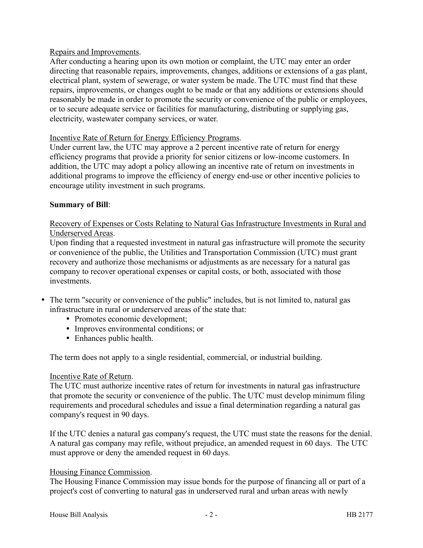#### Repairs and Improvements.

After conducting a hearing upon its own motion or complaint, the UTC may enter an order directing that reasonable repairs, improvements, changes, additions or extensions of a gas plant, electrical plant, system of sewerage, or water system be made. The UTC must find that these repairs, improvements, or changes ought to be made or that any additions or extensions should reasonably be made in order to promote the security or convenience of the public or employees, or to secure adequate service or facilities for manufacturing, distributing or supplying gas, electricity, wastewater company services, or water.

#### Incentive Rate of Return for Energy Efficiency Programs.

Under current law, the UTC may approve a 2 percent incentive rate of return for energy efficiency programs that provide a priority for senior citizens or low-income customers. In addition, the UTC may adopt a policy allowing an incentive rate of return on investments in additional programs to improve the efficiency of energy end-use or other incentive policies to encourage utility investment in such programs.

#### **Summary of Bill**:

## Recovery of Expenses or Costs Relating to Natural Gas Infrastructure Investments in Rural and Underserved Areas.

Upon finding that a requested investment in natural gas infrastructure will promote the security or convenience of the public, the Utilities and Transportation Commission (UTC) must grant recovery and authorize those mechanisms or adjustments as are necessary for a natural gas company to recover operational expenses or capital costs, or both, associated with those investments.

- The term "security or convenience of the public" includes, but is not limited to, natural gas infrastructure in rural or underserved areas of the state that:
	- Promotes economic development;
	- Improves environmental conditions; or
	- Enhances public health.

The term does not apply to a single residential, commercial, or industrial building.

#### Incentive Rate of Return.

The UTC must authorize incentive rates of return for investments in natural gas infrastructure that promote the security or convenience of the public. The UTC must develop minimum filing requirements and procedural schedules and issue a final determination regarding a natural gas company's request in 90 days.

If the UTC denies a natural gas company's request, the UTC must state the reasons for the denial. A natural gas company may refile, without prejudice, an amended request in 60 days. The UTC must approve or deny the amended request in 60 days.

#### Housing Finance Commission.

The Housing Finance Commission may issue bonds for the purpose of financing all or part of a project's cost of converting to natural gas in underserved rural and urban areas with newly